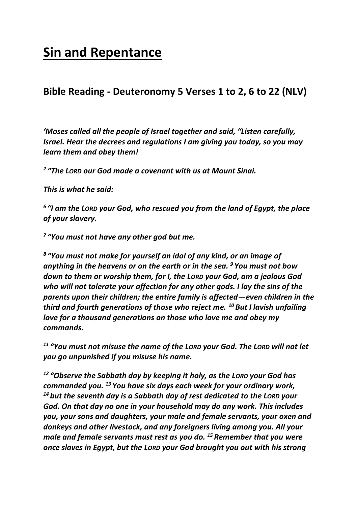# **Sin and Repentance**

## **Bible Reading - Deuteronomy 5 Verses 1 to 2, 6 to 22 (NLV)**

*'Moses called all the people of Israel together and said, "Listen carefully, Israel. Hear the decrees and regulations I am giving you today, so you may learn them and obey them!*

*2 "The LORD our God made a covenant with us at Mount Sinai.*

*This is what he said:*

*6 "I am the LORD your God, who rescued you from the land of Egypt, the place of your slavery.*

*7 "You must not have any other god but me.*

*8 "You must not make for yourself an idol of any kind, or an image of anything in the heavens or on the earth or in the sea. <sup>9</sup> You must not bow down to them or worship them, for I, the LORD your God, am a jealous God who will not tolerate your affection for any other gods. I lay the sins of the parents upon their children; the entire family is affected—even children in the third and fourth generations of those who reject me. <sup>10</sup> But I lavish unfailing love for a thousand generations on those who love me and obey my commands.*

*<sup>11</sup> "You must not misuse the name of the LORD your God. The LORD will not let you go unpunished if you misuse his name.*

*<sup>12</sup> "Observe the Sabbath day by keeping it holy, as the LORD your God has commanded you. <sup>13</sup> You have six days each week for your ordinary work, <sup>14</sup> but the seventh day is a Sabbath day of rest dedicated to the LORD your God. On that day no one in your household may do any work. This includes you, your sons and daughters, your male and female servants, your oxen and donkeys and other livestock, and any foreigners living among you. All your male and female servants must rest as you do. <sup>15</sup> Remember that you were once slaves in Egypt, but the LORD your God brought you out with his strong*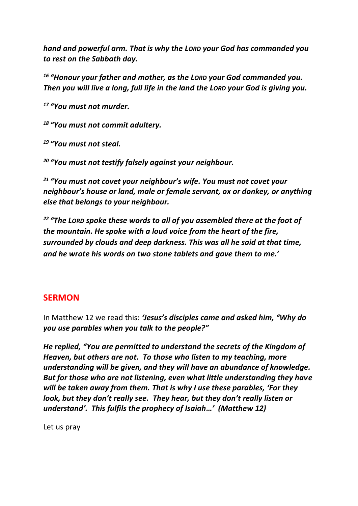*hand and powerful arm. That is why the LORD your God has commanded you to rest on the Sabbath day.*

*<sup>16</sup> "Honour your father and mother, as the LORD your God commanded you. Then you will live a long, full life in the land the LORD your God is giving you.*

*<sup>17</sup> "You must not murder.*

*<sup>18</sup> "You must not commit adultery.*

*<sup>19</sup> "You must not steal.*

*<sup>20</sup> "You must not testify falsely against your neighbour.*

*<sup>21</sup> "You must not covet your neighbour's wife. You must not covet your neighbour's house or land, male or female servant, ox or donkey, or anything else that belongs to your neighbour.*

*<sup>22</sup> "The LORD spoke these words to all of you assembled there at the foot of the mountain. He spoke with a loud voice from the heart of the fire, surrounded by clouds and deep darkness. This was all he said at that time, and he wrote his words on two stone tablets and gave them to me.'*

#### **SERMON**

In Matthew 12 we read this: *'Jesus's disciples came and asked him, "Why do you use parables when you talk to the people?"*

*He replied, "You are permitted to understand the secrets of the Kingdom of Heaven, but others are not. To those who listen to my teaching, more understanding will be given, and they will have an abundance of knowledge. But for those who are not listening, even what little understanding they have will be taken away from them. That is why I use these parables, 'For they look, but they don't really see. They hear, but they don't really listen or understand'. This fulfils the prophecy of Isaiah…' (Matthew 12)*

Let us pray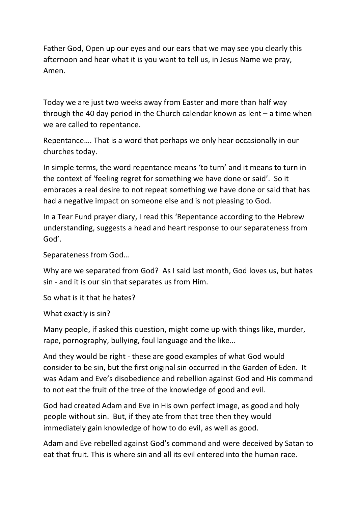Father God, Open up our eyes and our ears that we may see you clearly this afternoon and hear what it is you want to tell us, in Jesus Name we pray, Amen.

Today we are just two weeks away from Easter and more than half way through the 40 day period in the Church calendar known as lent – a time when we are called to repentance.

Repentance…. That is a word that perhaps we only hear occasionally in our churches today.

In simple terms, the word repentance means 'to turn' and it means to turn in the context of 'feeling regret for something we have done or said'. So it embraces a real desire to not repeat something we have done or said that has had a negative impact on someone else and is not pleasing to God.

In a Tear Fund prayer diary, I read this 'Repentance according to the Hebrew understanding, suggests a head and heart response to our separateness from God'.

Separateness from God…

Why are we separated from God? As I said last month, God loves us, but hates sin - and it is our sin that separates us from Him.

So what is it that he hates?

What exactly is sin?

Many people, if asked this question, might come up with things like, murder, rape, pornography, bullying, foul language and the like…

And they would be right - these are good examples of what God would consider to be sin, but the first original sin occurred in the Garden of Eden. It was Adam and Eve's disobedience and rebellion against God and His command to not eat the fruit of the tree of the knowledge of good and evil.

God had created Adam and Eve in His own perfect image, as good and holy people without sin. But, if they ate from that tree then they would immediately gain knowledge of how to do evil, as well as good.

Adam and Eve rebelled against God's command and were deceived by Satan to eat that fruit. This is where sin and all its evil entered into the human race.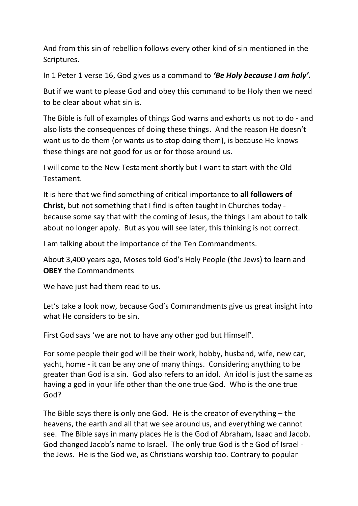And from this sin of rebellion follows every other kind of sin mentioned in the Scriptures.

In 1 Peter 1 verse 16, God gives us a command to *'Be Holy because I am holy'.*

But if we want to please God and obey this command to be Holy then we need to be clear about what sin is.

The Bible is full of examples of things God warns and exhorts us not to do - and also lists the consequences of doing these things. And the reason He doesn't want us to do them (or wants us to stop doing them), is because He knows these things are not good for us or for those around us.

I will come to the New Testament shortly but I want to start with the Old Testament.

It is here that we find something of critical importance to **all followers of Christ,** but not something that I find is often taught in Churches today because some say that with the coming of Jesus, the things I am about to talk about no longer apply. But as you will see later, this thinking is not correct.

I am talking about the importance of the Ten Commandments.

About 3,400 years ago, Moses told God's Holy People (the Jews) to learn and **OBEY** the Commandments

We have just had them read to us.

Let's take a look now, because God's Commandments give us great insight into what He considers to be sin.

First God says 'we are not to have any other god but Himself'.

For some people their god will be their work, hobby, husband, wife, new car, yacht, home - it can be any one of many things. Considering anything to be greater than God is a sin. God also refers to an idol. An idol is just the same as having a god in your life other than the one true God. Who is the one true God?

The Bible says there **is** only one God. He is the creator of everything – the heavens, the earth and all that we see around us, and everything we cannot see. The Bible says in many places He is the God of Abraham, Isaac and Jacob. God changed Jacob's name to Israel. The only true God is the God of Israel the Jews. He is the God we, as Christians worship too. Contrary to popular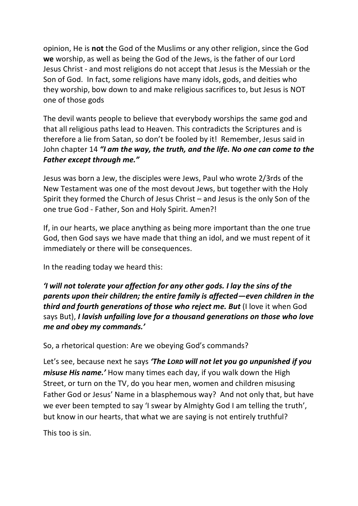opinion, He is **not** the God of the Muslims or any other religion, since the God **we** worship, as well as being the God of the Jews, is the father of our Lord Jesus Christ - and most religions do not accept that Jesus is the Messiah or the Son of God. In fact, some religions have many idols, gods, and deities who they worship, bow down to and make religious sacrifices to, but Jesus is NOT one of those gods

The devil wants people to believe that everybody worships the same god and that all religious paths lead to Heaven. This contradicts the Scriptures and is therefore a lie from Satan, so don't be fooled by it! Remember, Jesus said in John chapter 14 *"I am the way, the truth, and the life. No one can come to the Father except through me."*

Jesus was born a Jew, the disciples were Jews, Paul who wrote 2/3rds of the New Testament was one of the most devout Jews, but together with the Holy Spirit they formed the Church of Jesus Christ – and Jesus is the only Son of the one true God - Father, Son and Holy Spirit. Amen?!

If, in our hearts, we place anything as being more important than the one true God, then God says we have made that thing an idol, and we must repent of it immediately or there will be consequences.

In the reading today we heard this:

*'I will not tolerate your affection for any other gods. I lay the sins of the parents upon their children; the entire family is affected—even children in the third and fourth generations of those who reject me. But* (I love it when God says But), *I lavish unfailing love for a thousand generations on those who love me and obey my commands.'*

So, a rhetorical question: Are we obeying God's commands?

Let's see, because next he says *'The LORD will not let you go unpunished if you misuse His name.'* How many times each day, if you walk down the High Street, or turn on the TV, do you hear men, women and children misusing Father God or Jesus' Name in a blasphemous way? And not only that, but have we ever been tempted to say 'I swear by Almighty God I am telling the truth', but know in our hearts, that what we are saying is not entirely truthful?

This too is sin.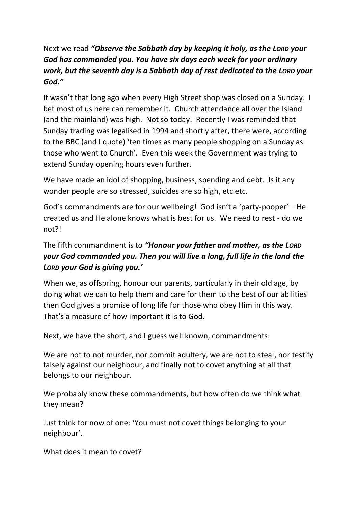## Next we read *"Observe the Sabbath day by keeping it holy, as the LORD your God has commanded you. You have six days each week for your ordinary work, but the seventh day is a Sabbath day of rest dedicated to the LORD your God."*

It wasn't that long ago when every High Street shop was closed on a Sunday. I bet most of us here can remember it. Church attendance all over the Island (and the mainland) was high. Not so today. Recently I was reminded that Sunday trading was legalised in 1994 and shortly after, there were, according to the BBC (and I quote) 'ten times as many people shopping on a Sunday as those who went to Church'. Even this week the Government was trying to extend Sunday opening hours even further.

We have made an idol of shopping, business, spending and debt. Is it any wonder people are so stressed, suicides are so high, etc etc.

God's commandments are for our wellbeing! God isn't a 'party-pooper' – He created us and He alone knows what is best for us. We need to rest - do we not?!

## The fifth commandment is to *"Honour your father and mother, as the LORD your God commanded you. Then you will live a long, full life in the land the LORD your God is giving you.'*

When we, as offspring, honour our parents, particularly in their old age, by doing what we can to help them and care for them to the best of our abilities then God gives a promise of long life for those who obey Him in this way. That's a measure of how important it is to God.

Next, we have the short, and I guess well known, commandments:

We are not to not murder, nor commit adultery, we are not to steal, nor testify falsely against our neighbour, and finally not to covet anything at all that belongs to our neighbour.

We probably know these commandments, but how often do we think what they mean?

Just think for now of one: 'You must not covet things belonging to your neighbour'.

What does it mean to covet?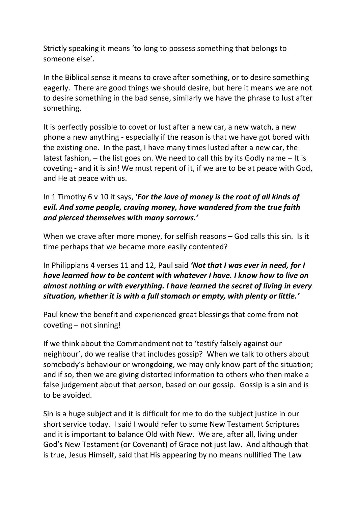Strictly speaking it means 'to long to possess something that belongs to someone else'.

In the Biblical sense it means to crave after something, or to desire something eagerly. There are good things we should desire, but here it means we are not to desire something in the bad sense, similarly we have the phrase to lust after something.

It is perfectly possible to covet or lust after a new car, a new watch, a new phone a new anything - especially if the reason is that we have got bored with the existing one. In the past, I have many times lusted after a new car, the latest fashion, – the list goes on. We need to call this by its Godly name – It is coveting - and it is sin! We must repent of it, if we are to be at peace with God, and He at peace with us.

#### In 1 Timothy 6 v 10 it says, '*For the love of money is the root of all kinds of evil. And some people, craving money, have wandered from the true faith and pierced themselves with many sorrows.'*

When we crave after more money, for selfish reasons – God calls this sin. Is it time perhaps that we became more easily contented?

In Philippians 4 verses 11 and 12, Paul said *'Not that I was ever in need, for I have learned how to be content with whatever I have. I know how to live on almost nothing or with everything. I have learned the secret of living in every situation, whether it is with a full stomach or empty, with plenty or little.'*

Paul knew the benefit and experienced great blessings that come from not coveting – not sinning!

If we think about the Commandment not to 'testify falsely against our neighbour', do we realise that includes gossip? When we talk to others about somebody's behaviour or wrongdoing, we may only know part of the situation; and if so, then we are giving distorted information to others who then make a false judgement about that person, based on our gossip. Gossip is a sin and is to be avoided.

Sin is a huge subject and it is difficult for me to do the subject justice in our short service today. I said I would refer to some New Testament Scriptures and it is important to balance Old with New. We are, after all, living under God's New Testament (or Covenant) of Grace not just law. And although that is true, Jesus Himself, said that His appearing by no means nullified The Law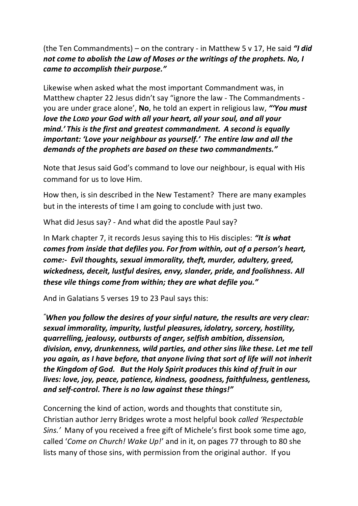(the Ten Commandments) – on the contrary - in Matthew 5 v 17, He said *"I did not come to abolish the Law of Moses or the writings of the prophets. No, I came to accomplish their purpose."*

Likewise when asked what the most important Commandment was, in Matthew chapter 22 Jesus didn't say "ignore the law - The Commandments you are under grace alone', **No**, he told an expert in religious law, *"'You must love the LORD your God with all your heart, all your soul, and all your mind.' This is the first and greatest commandment. A second is equally important: 'Love your neighbour as yourself.' The entire law and all the demands of the prophets are based on these two commandments."*

Note that Jesus said God's command to love our neighbour, is equal with His command for us to love Him.

How then, is sin described in the New Testament? There are many examples but in the interests of time I am going to conclude with just two.

What did Jesus say? - And what did the apostle Paul say?

In Mark chapter 7, it records Jesus saying this to His disciples: *"It is what comes from inside that defiles you. For from within, out of a person's heart, come:- Evil thoughts, sexual immorality, theft, murder, adultery, greed, wickedness, deceit, lustful desires, envy, slander, pride, and foolishness. All these vile things come from within; they are what defile you."*

And in Galatians 5 verses 19 to 23 Paul says this:

*"When you follow the desires of your sinful nature, the results are very clear: sexual immorality, impurity, lustful pleasures, idolatry, sorcery, hostility, quarrelling, jealousy, outbursts of anger, selfish ambition, dissension, division, envy, drunkenness, wild parties, and other sins like these. Let me tell you again, as I have before, that anyone living that sort of life will not inherit the Kingdom of God. But the Holy Spirit produces this kind of fruit in our lives: love, joy, peace, patience, kindness, goodness, faithfulness, gentleness, and self-control. There is no law against these things!"*

Concerning the kind of action, words and thoughts that constitute sin, Christian author Jerry Bridges wrote a most helpful book *called 'Respectable Sins.'* Many of you received a free gift of Michele's first book some time ago, called '*Come on Church! Wake Up!*' and in it, on pages 77 through to 80 she lists many of those sins, with permission from the original author. If you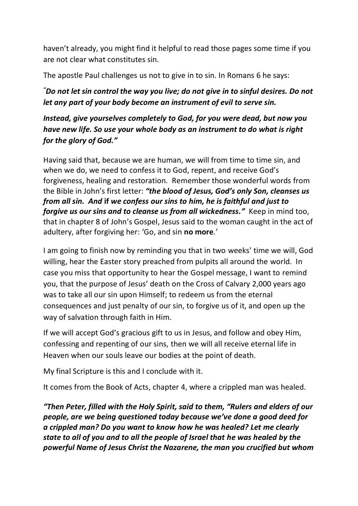haven't already, you might find it helpful to read those pages some time if you are not clear what constitutes sin.

The apostle Paul challenges us not to give in to sin. In Romans 6 he says:

*"Do not let sin control the way you live; do not give in to sinful desires. Do not let any part of your body become an instrument of evil to serve sin.* 

*Instead, give yourselves completely to God, for you were dead, but now you have new life. So use your whole body as an instrument to do what is right for the glory of God."*

Having said that, because we are human, we will from time to time sin, and when we do, we need to confess it to God, repent, and receive God's forgiveness, healing and restoration. Remember those wonderful words from the Bible in John's first letter: *"the blood of Jesus, God's only Son, cleanses us from all sin. And* **if** *we confess our sins to him, he is faithful and just to forgive us our sins and to cleanse us from all wickedness."* Keep in mind too, that in chapter 8 of John's Gospel, Jesus said to the woman caught in the act of adultery, after forgiving her: 'Go, and sin **no more**.'

I am going to finish now by reminding you that in two weeks' time we will, God willing, hear the Easter story preached from pulpits all around the world. In case you miss that opportunity to hear the Gospel message, I want to remind you, that the purpose of Jesus' death on the Cross of Calvary 2,000 years ago was to take all our sin upon Himself; to redeem us from the eternal consequences and just penalty of our sin, to forgive us of it, and open up the way of salvation through faith in Him.

If we will accept God's gracious gift to us in Jesus, and follow and obey Him, confessing and repenting of our sins, then we will all receive eternal life in Heaven when our souls leave our bodies at the point of death.

My final Scripture is this and I conclude with it.

It comes from the Book of Acts, chapter 4, where a crippled man was healed.

*"Then Peter, filled with the Holy Spirit, said to them, "Rulers and elders of our people, are we being questioned today because we've done a good deed for a crippled man? Do you want to know how he was healed? Let me clearly state to all of you and to all the people of Israel that he was healed by the powerful Name of Jesus Christ the Nazarene, the man you crucified but whom*